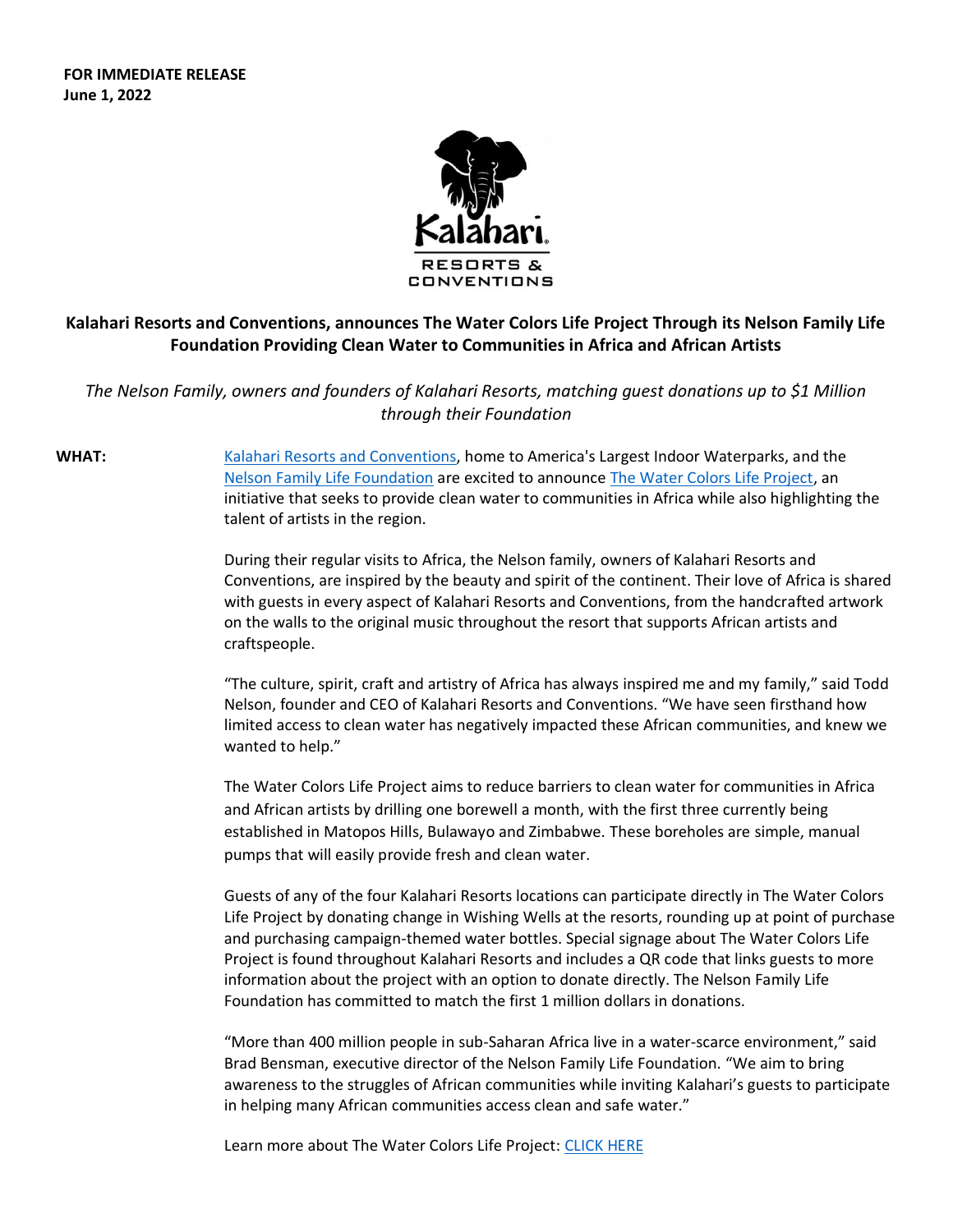**FOR IMMEDIATE RELEASE June 1, 2022**



## **Kalahari Resorts and Conventions, announces The Water Colors Life Project Through its Nelson Family Life Foundation Providing Clean Water to Communities in Africa and African Artists**

*The Nelson Family, owners and founders of Kalahari Resorts, matching guest donations up to \$1 Million through their Foundation*

**WHAT:** [Kalahari Resorts and Conventions,](https://www.kalahariresorts.com/) home to America's Largest Indoor Waterparks, and the [Nelson Family Life Foundation](https://www.nelsonfamilylifefoundation.org/) are excited to announce [The Water Colors Life Project,](https://www.nelsonfamilylifefoundation.org/waterproject) an initiative that seeks to provide clean water to communities in Africa while also highlighting the talent of artists in the region.

> During their regular visits to Africa, the Nelson family, owners of Kalahari Resorts and Conventions, are inspired by the beauty and spirit of the continent. Their love of Africa is shared with guests in every aspect of Kalahari Resorts and Conventions, from the handcrafted artwork on the walls to the original music throughout the resort that supports African artists and craftspeople.

> "The culture, spirit, craft and artistry of Africa has always inspired me and my family," said Todd Nelson, founder and CEO of Kalahari Resorts and Conventions. "We have seen firsthand how limited access to clean water has negatively impacted these African communities, and knew we wanted to help."

The Water Colors Life Project aims to reduce barriers to clean water for communities in Africa and African artists by drilling one borewell a month, with the first three currently being established in Matopos Hills, Bulawayo and Zimbabwe. These boreholes are simple, manual pumps that will easily provide fresh and clean water.

Guests of any of the four Kalahari Resorts locations can participate directly in The Water Colors Life Project by donating change in Wishing Wells at the resorts, rounding up at point of purchase and purchasing campaign-themed water bottles. Special signage about The Water Colors Life Project is found throughout Kalahari Resorts and includes a QR code that links guests to more information about the project with an option to donate directly. The Nelson Family Life Foundation has committed to match the first 1 million dollars in donations.

"More than 400 million people in sub-Saharan Africa live in a water-scarce environment," said Brad Bensman, executive director of the Nelson Family Life Foundation. "We aim to bring awareness to the struggles of African communities while inviting Kalahari's guests to participate in helping many African communities access clean and safe water."

Learn more about The Water Colors Life Project[: CLICK HERE](https://www.nelsonfamilylifefoundation.org/waterproject)